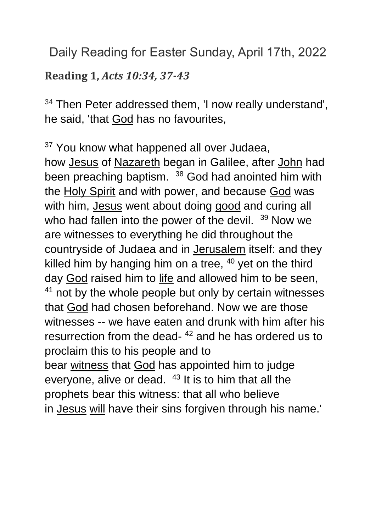Daily Reading for Easter Sunday, April 17th, 2022

**Reading 1,** *Acts 10:34, 37-43*

 $34$  Then Peter addressed them, I now really understand', he said, 'that [God](https://www.catholic.org/encyclopedia/view.php?id=5217) has no favourites,

<sup>37</sup> You know what happened all over Judaea, how [Jesus](https://www.catholic.org/clife/jesus) of [Nazareth](https://www.catholic.org/encyclopedia/view.php?id=8359) began in Galilee, after [John](https://www.catholic.org/bible/book.php?id=50) had been preaching baptism. <sup>38</sup> God had anointed him with the [Holy Spirit](https://www.catholic.org/encyclopedia/view.php?id=5854) and with power, and because [God](https://www.catholic.org/encyclopedia/view.php?id=5217) was with him, [Jesus](https://www.catholic.org/clife/jesus) went about doing [good](https://www.catholic.org/encyclopedia/view.php?id=5257) and curing all who had fallen into the power of the devil. <sup>39</sup> Now we are witnesses to everything he did throughout the countryside of Judaea and in [Jerusalem](https://www.catholic.org/encyclopedia/view.php?id=6304) itself: and they killed him by hanging him on a tree,  $40$  yet on the third day [God](https://www.catholic.org/encyclopedia/view.php?id=5217) raised him to [life](https://www.catholic.org/encyclopedia/view.php?id=7101) and allowed him to be seen,  $41$  not by the whole people but only by certain witnesses that [God](https://www.catholic.org/encyclopedia/view.php?id=5217) had chosen beforehand. Now we are those witnesses -- we have eaten and drunk with him after his resurrection from the dead-<sup>42</sup> and he has ordered us to proclaim this to his people and to bear [witness](https://www.catholic.org/encyclopedia/view.php?id=12423) that [God](https://www.catholic.org/encyclopedia/view.php?id=5217) has appointed him to judge everyone, alive or dead.  $43$  It is to him that all the prophets bear this witness: that all who believe in [Jesus](https://www.catholic.org/clife/jesus) [will](https://www.catholic.org/encyclopedia/view.php?id=12332) have their sins forgiven through his name.'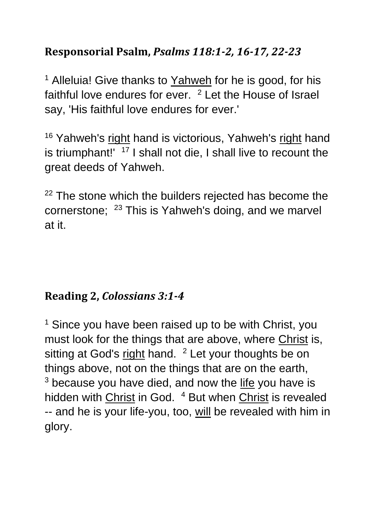## **Responsorial Psalm,** *Psalms 118:1-2, 16-17, 22-23*

<sup>1</sup> Alleluia! Give thanks to [Yahweh](https://www.catholic.org/encyclopedia/view.php?id=6291) for he is good, for his faithful love endures for ever. <sup>2</sup> Let the House of Israel say, 'His faithful love endures for ever.'

<sup>16</sup> Yahweh's [right](https://www.catholic.org/encyclopedia/view.php?id=10046) hand is victorious, Yahweh's right hand is triumphant!' <sup>17</sup> I shall not die, I shall live to recount the great deeds of Yahweh.

 $22$  The stone which the builders rejected has become the cornerstone; <sup>23</sup> This is Yahweh's doing, and we marvel at it.

## **Reading 2,** *Colossians 3:1-4*

 $1$  Since you have been raised up to be with Christ, you must look for the things that are above, where [Christ](https://www.catholic.org/clife/jesus) is, sitting at God's [right](https://www.catholic.org/encyclopedia/view.php?id=10046) hand. <sup>2</sup> Let your thoughts be on things above, not on the things that are on the earth,  $3$  because you have died, and now the [life](https://www.catholic.org/encyclopedia/view.php?id=7101) you have is hidden with [Christ](https://www.catholic.org/clife/jesus) in God. <sup>4</sup> But when Christ is revealed -- and he is your life-you, too, [will](https://www.catholic.org/encyclopedia/view.php?id=12332) be revealed with him in glory.